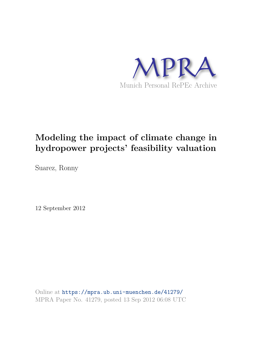

## **Modeling the impact of climate change in hydropower projects' feasibility valuation**

Suarez, Ronny

12 September 2012

Online at https://mpra.ub.uni-muenchen.de/41279/ MPRA Paper No. 41279, posted 13 Sep 2012 06:08 UTC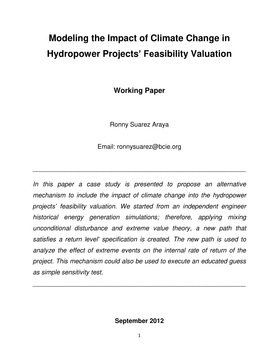# **Modeling the Impact of Climate Change in Hydropower Projects' Feasibility Valuation**

**Working Paper** 

Ronny Suarez Araya

Email: ronnysuarez@bcie.org

\_\_\_\_\_\_\_\_\_\_\_\_\_\_\_\_\_\_\_\_\_\_\_\_\_\_\_\_\_\_\_\_\_\_\_\_\_\_\_\_\_\_\_\_\_\_\_\_\_\_\_\_\_\_\_\_\_\_\_\_

In this paper a case study is presented to propose an alternative *mechanism to include the impact of climate change into the hydropower projects' feasibility valuation. We started from an independent engineer historical energy generation simulations; therefore, applying mixing unconditional disturbance and extreme value theory, a new path that satisfies a return level' specification is created. The new path is used to analyze the effect of extreme events on the internal rate of return of the project. This mechanism could also be used to execute an educated guess as simple sensitivity test.* 

**September 2012**

\_\_\_\_\_\_\_\_\_\_\_\_\_\_\_\_\_\_\_\_\_\_\_\_\_\_\_\_\_\_\_\_\_\_\_\_\_\_\_\_\_\_\_\_\_\_\_\_\_\_\_\_\_\_\_\_\_\_\_\_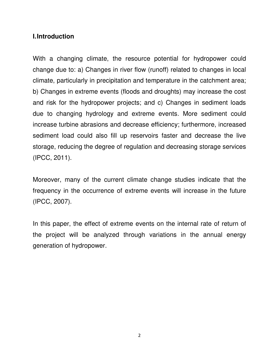#### **I. Introduction**

With a changing climate, the resource potential for hydropower could change due to: a) Changes in river flow (runoff) related to changes in local climate, particularly in precipitation and temperature in the catchment area; b) Changes in extreme events (floods and droughts) may increase the cost and risk for the hydropower projects; and c) Changes in sediment loads due to changing hydrology and extreme events. More sediment could increase turbine abrasions and decrease efficiency; furthermore, increased sediment load could also fill up reservoirs faster and decrease the live storage, reducing the degree of regulation and decreasing storage services (IPCC, 2011).

Moreover, many of the current climate change studies indicate that the frequency in the occurrence of extreme events will increase in the future (IPCC, 2007).

In this paper, the effect of extreme events on the internal rate of return of the project will be analyzed through variations in the annual energy generation of hydropower.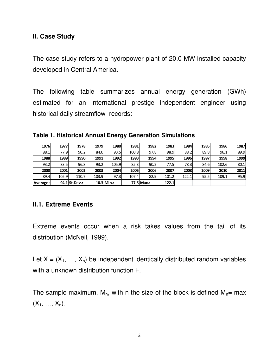#### **II. Case Study**

The case study refers to a hydropower plant of 20.0 MW installed capacity developed in Central America.

The following table summarizes annual energy generation (GWh) estimated for an international prestige independent engineer using historical daily streamflow records:

**Table 1. Historical Annual Energy Generation Simulations** 

| <b>1976</b> | 1977  | 1978           | 1979  | 1980         | 1981  | 1982       | 1983        | 1984  | 1985 | 1986  | 1987 |
|-------------|-------|----------------|-------|--------------|-------|------------|-------------|-------|------|-------|------|
| 88.1        | 77.9I | 90.2           | 84.0  | 93.5         | 100.8 | 97.8       | 98.9        | 88.2  | 89.8 | 96.1  | 89.9 |
| 1988        | 1989  | 1990           | 1991  | 1992         | 1993  | 1994       | <b>1995</b> | 1996  | 1997 | 1998  | 1999 |
| 93.2        | 83.5l | 96.8           | 93.2  | 105.9        | 85.3  | 90.2       | 77.5I       | 78.3  | 84.6 | 102.6 | 80.1 |
| 2000        | 2001  | 2002           | 2003  | 2004         | 2005  | 2006       | 2007        | 2008  | 2009 | 2010  | 2011 |
| 89.4        | 105.9 | 110.7          | 103.9 | 97.3         | 107.4 | 82.9       | 101.2       | 122.1 | 95.5 | 109.1 | 95.9 |
| Average:    |       | 94.1 St. Dev.: |       | $10.3$ Min.: |       | 77.5 Max.: | 122.1       |       |      |       |      |

### **II.1. Extreme Events**

Extreme events occur when a risk takes values from the tail of its distribution (McNeil, 1999).

Let  $X = (X_1, ..., X_n)$  be independent identically distributed random variables with a unknown distribution function F.

The sample maximum,  $M_n$ , with n the size of the block is defined  $M_n=$  max  $(X_1, ..., X_n)$ .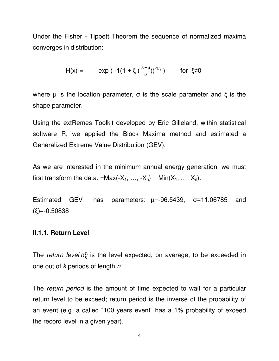Under the Fisher - Tippett Theorem the sequence of normalized maxima converges in distribution:

$$
H(x) = \exp(-1(1 + \xi(\frac{x-\mu}{\sigma}))^{-1/\xi})
$$
 for  $\xi \neq 0$ 

where  $\mu$  is the location parameter,  $\sigma$  is the scale parameter and  $\xi$  is the shape parameter.

Using the extRemes Toolkit developed by Eric Gilleland, within statistical software R, we applied the Block Maxima method and estimated a Generalized Extreme Value Distribution (GEV).

As we are interested in the minimum annual energy generation, we must first transform the data:  $-Max(-X_1, ..., -X_n) = Min(X_1, ..., X_n)$ .

Estimated GEV has parameters:  $\mu = -96.5439$ ,  $\sigma = 11.06785$  and (ξ)=-0.50838

#### **II.1.1. Return Level**

The *return level*  $R_k^n$  is the level expected, on average, to be exceeded in one out of *k* periods of length *n*.

The *return period* is the amount of time expected to wait for a particular return level to be exceed; return period is the inverse of the probability of an event (e.g. a called "100 years event" has a 1% probability of exceed the record level in a given year).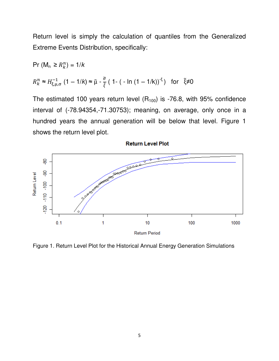Return level is simply the calculation of quantiles from the Generalized Extreme Events Distribution, specifically:

Pr (M<sub>n</sub> ≥ R<sub>k</sub><sup>n</sup>) = 1/k  
\n
$$
R_k^n ≈ H_{\xi, \mu, \sigma}^{-1} (1 - 1/k) ≈ \tilde{\mu} - \frac{\tilde{\sigma}}{\tilde{\xi}} (1 - (-\ln(1 - 1/k))^{-\xi}) \text{ for } \tilde{\xi} \neq 0
$$

The estimated 100 years return level  $(R_{100})$  is -76.8, with 95% confidence interval of (-78.94354,-71.30753); meaning, on average, only once in a hundred years the annual generation will be below that level. Figure 1 shows the return level plot.



Figure 1. Return Level Plot for the Historical Annual Energy Generation Simulations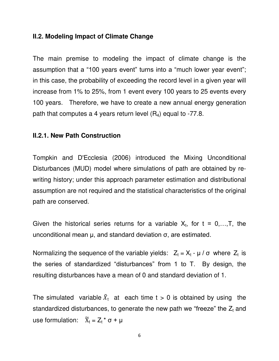#### **II.2. Modeling Impact of Climate Change**

The main premise to modeling the impact of climate change is the assumption that a "100 years event" turns into a "much lower year event"; in this case, the probability of exceeding the record level in a given year will increase from 1% to 25%, from 1 event every 100 years to 25 events every 100 years. Therefore, we have to create a new annual energy generation path that computes a 4 years return level  $(R_4)$  equal to -77.8.

#### **II.2.1. New Path Construction**

Tompkin and D'Ecclesia (2006) introduced the Mixing Unconditional Disturbances (MUD) model where simulations of path are obtained by rewriting history; under this approach parameter estimation and distributional assumption are not required and the statistical characteristics of the original path are conserved.

Given the historical series returns for a variable  $X_t$ , for  $t = 0,...,T$ , the unconditional mean µ, and standard deviation σ, are estimated.

Normalizing the sequence of the variable yields:  $Z_t = X_t - \mu / \sigma$  where  $Z_t$  is the series of standardized "disturbances" from 1 to T. By design, the resulting disturbances have a mean of 0 and standard deviation of 1.

The simulated variable  $\tilde{X}_t$  at each time t > 0 is obtained by using the standardized disturbances, to generate the new path we "freeze" the  $Z_t$  and use formulation:  $\widetilde{X}_t = Z_t * \sigma + \mu$ 

6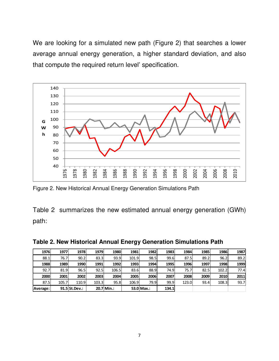We are looking for a simulated new path (Figure 2) that searches a lower average annual energy generation, a higher standard deviation, and also that compute the required return level' specification.



Figure 2. New Historical Annual Energy Generation Simulations Path

Table 2 summarizes the new estimated annual energy generation (GWh) path:

| 1976     | 1977  | 1978           | 1979  | 1980       | 1981  | 1982       | 1983         | 1984  | 1985 | 1986  | 1987 |
|----------|-------|----------------|-------|------------|-------|------------|--------------|-------|------|-------|------|
| 88.1     | 76.7  | 90.2           | 83.3  | 93.9       | 101.9 | 98.5       | 99.6         | 87.5  | 89.2 | 96.2  | 89.2 |
| 1988     | 1989  | 1990           | 1991  | 1992       | 1993  | 1994       | <b>1995</b>  | 1996  | 1997 | 1998  | 1999 |
| 92.7     | 81.9  | 96.5           | 92.5  | 106.5      | 83.6  | 88.9       | 74.9I        | 75.7  | 82.5 | 102.2 | 77.4 |
| 2000     | 2001  | 2002           | 2003  | 2004       | 2005  | 2006       | 2007         | 2008  | 2009 | 2010  | 2011 |
| 87.5     | 105.7 | 110.9l         | 103.3 | 95.8       | 106.9 | 79.9       | 99.9         | 123.0 | 93.4 | 108.3 | 93.7 |
| Average: |       | 91.5 St. Dev.: |       | 20.7 Min.: |       | 53.0 Max.: | <b>134.1</b> |       |      |       |      |

**Table 2. New Historical Annual Energy Generation Simulations Path**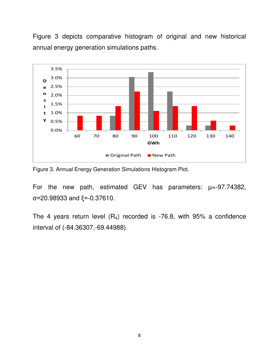Figure 3 depicts comparative histogram of original and new historical annual energy generation simulations paths.



Figure 3. Annual Energy Generation Simulations Histogram Plot.

For the new path, estimated GEV has parameters:  $\mu = -97.74382$ , σ=20.98933 and ξ=-0.37610.

The 4 years return level  $(R_4)$  recorded is -76.8, with 95% a confidence interval of (-84.36307,-69.44988).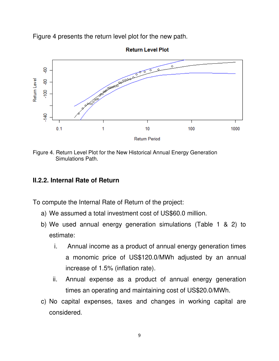Figure 4 presents the return level plot for the new path.



**Return Level Plot** 

Figure 4. Return Level Plot for the New Historical Annual Energy Generation Simulations Path.

#### **II.2.2. Internal Rate of Return**

To compute the Internal Rate of Return of the project:

- a) We assumed a total investment cost of US\$60.0 million.
- b) We used annual energy generation simulations (Table 1 & 2) to estimate:
	- i. Annual income as a product of annual energy generation times a monomic price of US\$120.0/MWh adjusted by an annual increase of 1.5% (inflation rate).
	- ii. Annual expense as a product of annual energy generation times an operating and maintaining cost of US\$20.0/MWh.
- c) No capital expenses, taxes and changes in working capital are considered.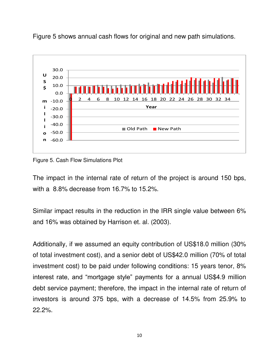

Figure 5 shows annual cash flows for original and new path simulations.

Figure 5. Cash Flow Simulations Plot

The impact in the internal rate of return of the project is around 150 bps, with a 8.8% decrease from 16.7% to 15.2%.

Similar impact results in the reduction in the IRR single value between 6% and 16% was obtained by Harrison et. al. (2003).

Additionally, if we assumed an equity contribution of US\$18.0 million (30% of total investment cost), and a senior debt of US\$42.0 million (70% of total investment cost) to be paid under following conditions: 15 years tenor, 8% interest rate, and "mortgage style" payments for a annual US\$4.9 million debt service payment; therefore, the impact in the internal rate of return of investors is around 375 bps, with a decrease of 14.5% from 25.9% to 22.2%.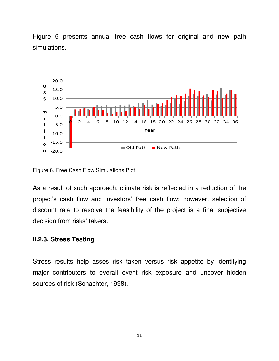Figure 6 presents annual free cash flows for original and new path simulations.



Figure 6. Free Cash Flow Simulations Plot

As a result of such approach, climate risk is reflected in a reduction of the project's cash flow and investors' free cash flow; however, selection of discount rate to resolve the feasibility of the project is a final subjective decision from risks' takers.

#### **II.2.3. Stress Testing**

Stress results help asses risk taken versus risk appetite by identifying major contributors to overall event risk exposure and uncover hidden sources of risk (Schachter, 1998).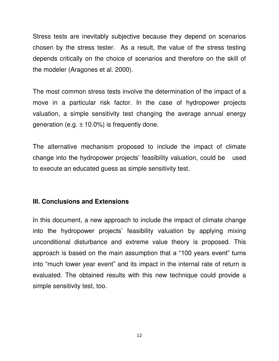Stress tests are inevitably subjective because they depend on scenarios chosen by the stress tester. As a result, the value of the stress testing depends critically on the choice of scenarios and therefore on the skill of the modeler (Aragones et al. 2000).

The most common stress tests involve the determination of the impact of a move in a particular risk factor. In the case of hydropower projects valuation, a simple sensitivity test changing the average annual energy generation (e.g.  $\pm$  10.0%) is frequently done.

The alternative mechanism proposed to include the impact of climate change into the hydropower projects' feasibility valuation, could be used to execute an educated guess as simple sensitivity test.

#### **III. Conclusions and Extensions**

In this document, a new approach to include the impact of climate change into the hydropower projects' feasibility valuation by applying mixing unconditional disturbance and extreme value theory is proposed. This approach is based on the main assumption that a "100 years event" turns into "much lower year event" and its impact in the internal rate of return is evaluated. The obtained results with this new technique could provide a simple sensitivity test, too.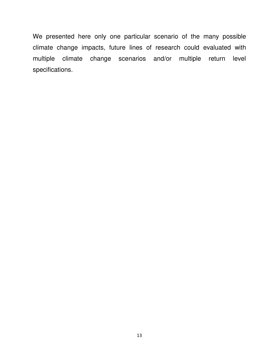We presented here only one particular scenario of the many possible climate change impacts, future lines of research could evaluated with multiple climate change scenarios and/or multiple return level specifications.